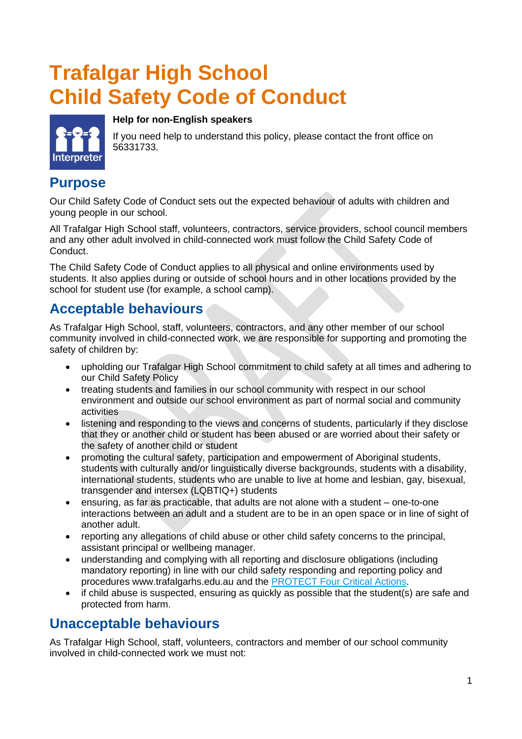## **Trafalgar High School Child Safety Code of Conduct**



# **Help for non-English speakers**

If you need help to understand this policy, please contact the front office on 56331733.

### **Purpose**

Our Child Safety Code of Conduct sets out the expected behaviour of adults with children and young people in our school.

All Trafalgar High School staff, volunteers, contractors, service providers, school council members and any other adult involved in child-connected work must follow the Child Safety Code of Conduct.

The Child Safety Code of Conduct applies to all physical and online environments used by students. It also applies during or outside of school hours and in other locations provided by the school for student use (for example, a school camp).

## **Acceptable behaviours**

As Trafalgar High School, staff, volunteers, contractors, and any other member of our school community involved in child-connected work, we are responsible for supporting and promoting the safety of children by:

- upholding our Trafalgar High School commitment to child safety at all times and adhering to our Child Safety Policy
- treating students and families in our school community with respect in our school environment and outside our school environment as part of normal social and community activities
- listening and responding to the views and concerns of students, particularly if they disclose that they or another child or student has been abused or are worried about their safety or the safety of another child or student
- promoting the cultural safety, participation and empowerment of Aboriginal students, students with culturally and/or linguistically diverse backgrounds, students with a disability, international students, students who are unable to live at home and lesbian, gay, bisexual, transgender and intersex (LQBTIQ+) students
- ensuring, as far as practicable, that adults are not alone with a student one-to-one interactions between an adult and a student are to be in an open space or in line of sight of another adult.
- reporting any allegations of child abuse or other child safety concerns to the principal, assistant principal or wellbeing manager.
- understanding and complying with all reporting and disclosure obligations (including mandatory reporting) in line with our child safety responding and reporting policy and procedures www.trafalgarhs.edu.au and the [PROTECT Four Critical Actions.](https://www.education.vic.gov.au/Documents/about/programs/health/protect/FourCriticalActions_ChildAbuse.pdf)
- if child abuse is suspected, ensuring as quickly as possible that the student(s) are safe and protected from harm.

## **Unacceptable behaviours**

As Trafalgar High School, staff, volunteers, contractors and member of our school community involved in child-connected work we must not: